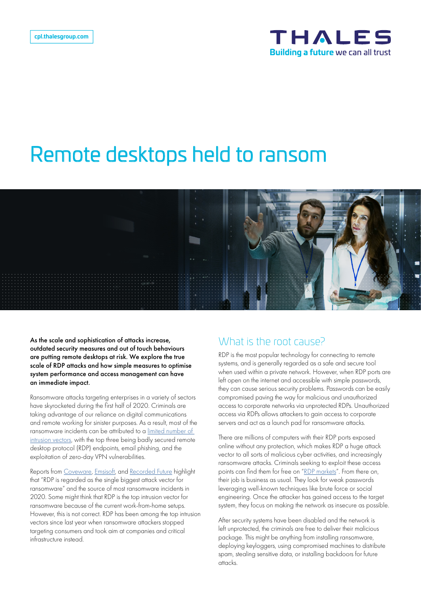

# Remote desktops held to ransom



As the scale and sophistication of attacks increase, outdated security measures and out of touch behaviours are putting remote desktops at risk. We explore the true scale of RDP attacks and how simple measures to optimise system performance and access management can have an immediate impact.

Ransomware attacks targeting enterprises in a variety of sectors have skyrocketed during the first half of 2020. Criminals are taking advantage of our reliance on digital communications and remote working for sinister purposes. As a result, most of the ransomware incidents can be attributed to a limited number of intrusion vectors, with the top three being badly secured remote desktop protocol (RDP) endpoints, email phishing, and the exploitation of zero-day VPN vulnerabilities.

Reports from Coveware, Emsisoft, and Recorded Future highlight that "RDP is regarded as the single biggest attack vector for ransomware" and the source of most ransomware incidents in 2020. Some might think that RDP is the top intrusion vector for ransomware because of the current work-from-home setups. However, this is not correct. RDP has been among the top intrusion vectors since last year when ransomware attackers stopped targeting consumers and took aim at companies and critical infrastructure instead.

#### What is the root cause?

RDP is the most popular technology for connecting to remote systems, and is generally regarded as a safe and secure tool when used within a private network. However, when RDP ports are left open on the internet and accessible with simple passwords, they can cause serious security problems. Passwords can be easily compromised paving the way for malicious and unauthorized access to corporate networks via unprotected RDPs. Unauthorized access via RDPs allows attackers to gain access to corporate servers and act as a launch pad for ransomware attacks.

There are millions of computers with their RDP ports exposed online without any protection, which makes RDP a huge attack vector to all sorts of malicious cyber activities, and increasingly ransomware attacks. Criminals seeking to exploit these access points can find them for free on "RDP markets". From there on, their job is business as usual. They look for weak passwords leveraging well-known techniques like brute force or social engineering. Once the attacker has gained access to the target system, they focus on making the network as insecure as possible.

After security systems have been disabled and the network is left unprotected, the criminals are free to deliver their malicious package. This might be anything from installing ransomware, deploying keyloggers, using compromised machines to distribute spam, stealing sensitive data, or installing backdoors for future attacks.